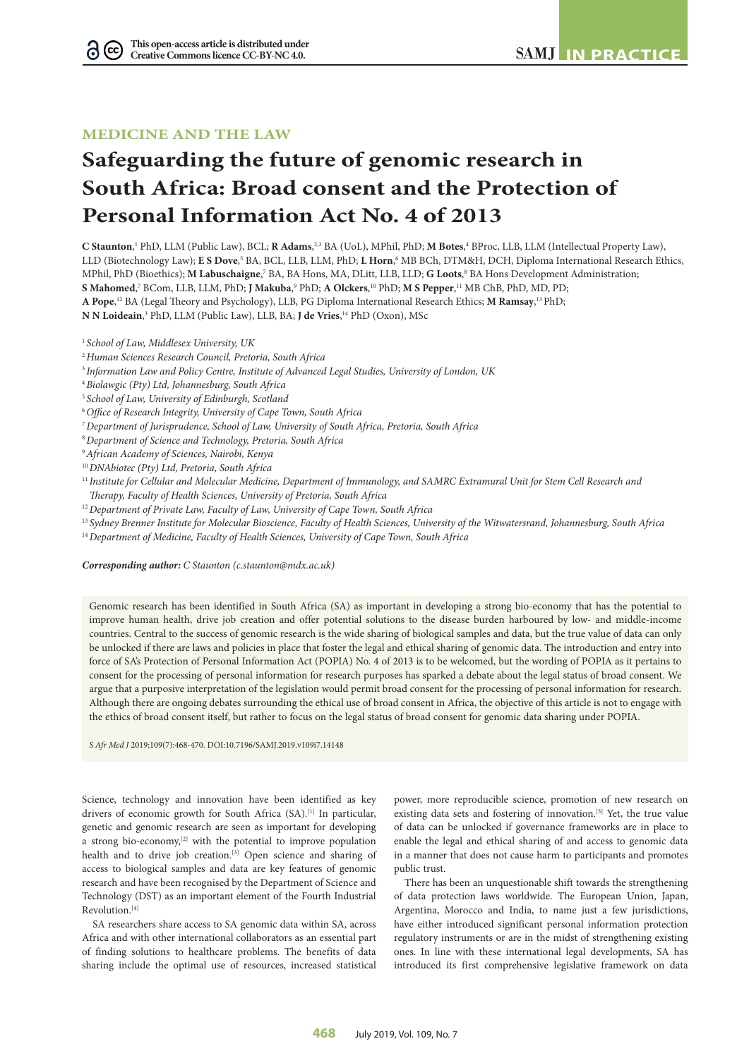## **MEDICINE AND THE LAW**

# **Safeguarding the future of genomic research in South Africa: Broad consent and the Protection of Personal Information Act No. 4 of 2013**

C Staunton,<sup>1</sup> PhD, LLM (Public Law), BCL; R Adams,<sup>2,3</sup> BA (UoL), MPhil, PhD; M Botes,<sup>4</sup> BProc, LLB, LLM (Intellectual Property Law), LLD (Biotechnology Law); **E S Dove**,<sup>5</sup> BA, BCL, LLB, LLM, PhD; **L Horn**,6 MB BCh, DTM&H, DCH, Diploma International Research Ethics, MPhil, PhD (Bioethics); **M Labuschaigne**, 7 BA, BA Hons, MA, DLitt, LLB, LLD; **G Loots**, 8 BA Hons Development Administration; **S Mahomed**,<sup>7</sup> BCom, LLB, LLM, PhD; **J Makuba**,<sup>9</sup> PhD; **A Olckers**,<sup>10</sup> PhD; **M S Pepper**,<sup>11</sup> MB ChB, PhD, MD, PD; **A Pope**, 12 BA (Legal Theory and Psychology), LLB, PG Diploma International Research Ethics; **M Ramsay**, 13 PhD;

**N N Loideain**, 3 PhD, LLM (Public Law), LLB, BA; **J de Vries**, 14 PhD (Oxon), MSc

<sup>1</sup> *School of Law, Middlesex University, UK*

- <sup>2</sup>*Human Sciences Research Council, Pretoria, South Africa*
- <sup>3</sup>*Information Law and Policy Centre, Institute of Advanced Legal Studies, University of London, UK*
- <sup>4</sup>*Biolawgic (Pty) Ltd, Johannesburg, South Africa*
- <sup>5</sup>*School of Law, University of Edinburgh, Scotland*
- <sup>6</sup>*Office of Research Integrity, University of Cape Town, South Africa*
- <sup>7</sup>*Department of Jurisprudence, School of Law, University of South Africa, Pretoria, South Africa*
- <sup>8</sup>*Department of Science and Technology, Pretoria, South Africa*
- <sup>9</sup>*African Academy of Sciences, Nairobi, Kenya*
- <sup>10</sup>*DNAbiotec (Pty) Ltd, Pretoria, South Africa*
- <sup>11</sup> *Institute for Cellular and Molecular Medicine, Department of Immunology, and SAMRC Extramural Unit for Stem Cell Research and Therapy, Faculty of Health Sciences, University of Pretoria, South Africa*
- <sup>12</sup>*Department of Private Law, Faculty of Law, University of Cape Town, South Africa*
- <sup>13</sup> *Sydney Brenner Institute for Molecular Bioscience, Faculty of Health Sciences, University of the Witwatersrand, Johannesburg, South Africa*
- <sup>14</sup>*Department of Medicine, Faculty of Health Sciences, University of Cape Town, South Africa*

*Corresponding author: C Staunton (c.staunton@mdx.ac.uk)*

Genomic research has been identified in South Africa (SA) as important in developing a strong bio-economy that has the potential to improve human health, drive job creation and offer potential solutions to the disease burden harboured by low- and middle-income countries. Central to the success of genomic research is the wide sharing of biological samples and data, but the true value of data can only be unlocked if there are laws and policies in place that foster the legal and ethical sharing of genomic data. The introduction and entry into force of SA's Protection of Personal Information Act (POPIA) No. 4 of 2013 is to be welcomed, but the wording of POPIA as it pertains to consent for the processing of personal information for research purposes has sparked a debate about the legal status of broad consent. We argue that a purposive interpretation of the legislation would permit broad consent for the processing of personal information for research. Although there are ongoing debates surrounding the ethical use of broad consent in Africa, the objective of this article is not to engage with the ethics of broad consent itself, but rather to focus on the legal status of broad consent for genomic data sharing under POPIA.

*S Afr Med J* 2019;109(7):468-470. DOI:10.7196/SAMJ.2019.v109i7.14148

Science, technology and innovation have been identified as key drivers of economic growth for South Africa (SA).[1] In particular, genetic and genomic research are seen as important for developing a strong bio-economy,<sup>[2]</sup> with the potential to improve population health and to drive job creation.<sup>[3]</sup> Open science and sharing of access to biological samples and data are key features of genomic research and have been recognised by the Department of Science and Technology (DST) as an important element of the Fourth Industrial Revolution.[4]

SA researchers share access to SA genomic data within SA, across Africa and with other international collaborators as an essential part of finding solutions to healthcare problems. The benefits of data sharing include the optimal use of resources, increased statistical

power, more reproducible science, promotion of new research on existing data sets and fostering of innovation.<sup>[5]</sup> Yet, the true value of data can be unlocked if governance frameworks are in place to enable the legal and ethical sharing of and access to genomic data in a manner that does not cause harm to participants and promotes public trust.

There has been an unquestionable shift towards the strengthening of data protection laws worldwide. The European Union, Japan, Argentina, Morocco and India, to name just a few jurisdictions, have either introduced significant personal information protection regulatory instruments or are in the midst of strengthening existing ones. In line with these international legal developments, SA has introduced its first comprehensive legislative framework on data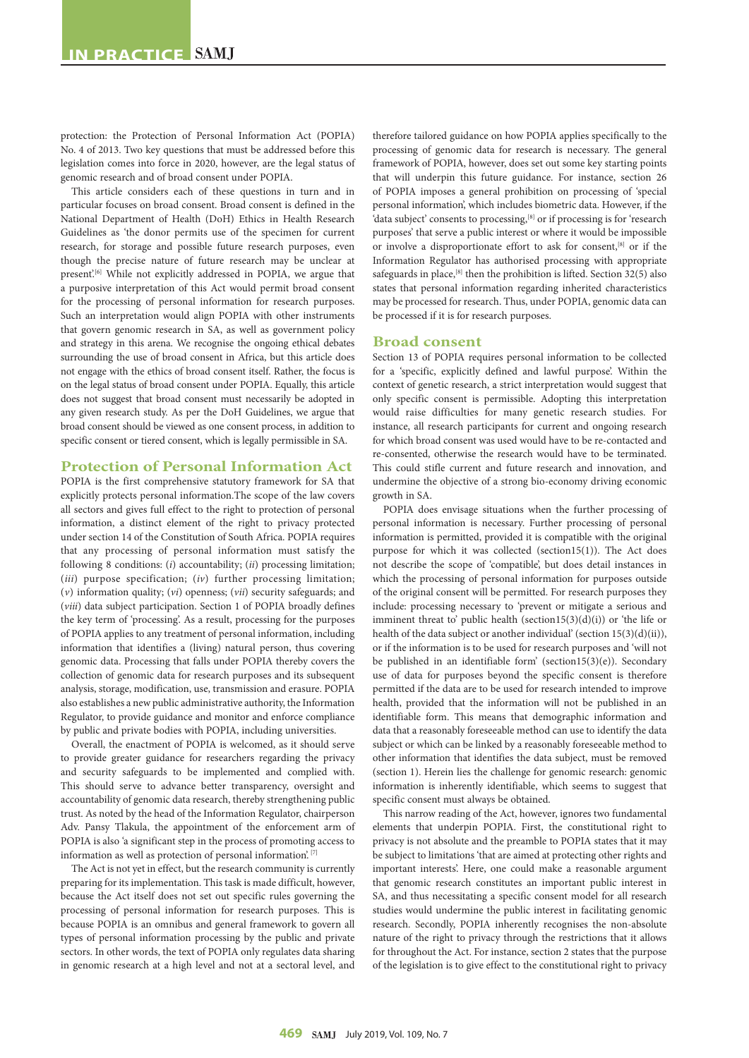protection: the Protection of Personal Information Act (POPIA) No. 4 of 2013. Two key questions that must be addressed before this legislation comes into force in 2020, however, are the legal status of genomic research and of broad consent under POPIA.

This article considers each of these questions in turn and in particular focuses on broad consent. Broad consent is defined in the National Department of Health (DoH) Ethics in Health Research Guidelines as 'the donor permits use of the specimen for current research, for storage and possible future research purposes, even though the precise nature of future research may be unclear at present'.<sup>[6]</sup> While not explicitly addressed in POPIA, we argue that a purposive interpretation of this Act would permit broad consent for the processing of personal information for research purposes. Such an interpretation would align POPIA with other instruments that govern genomic research in SA, as well as government policy and strategy in this arena. We recognise the ongoing ethical debates surrounding the use of broad consent in Africa, but this article does not engage with the ethics of broad consent itself. Rather, the focus is on the legal status of broad consent under POPIA. Equally, this article does not suggest that broad consent must necessarily be adopted in any given research study. As per the DoH Guidelines, we argue that broad consent should be viewed as one consent process, in addition to specific consent or tiered consent, which is legally permissible in SA.

### **Protection of Personal Information Act**

POPIA is the first comprehensive statutory framework for SA that explicitly protects personal information.The scope of the law covers all sectors and gives full effect to the right to protection of personal information, a distinct element of the right to privacy protected under section 14 of the Constitution of South Africa. POPIA requires that any processing of personal information must satisfy the following 8 conditions: (*i*) accountability; (*ii*) processing limitation; (*iii*) purpose specification; (*iv*) further processing limitation; (*v*) information quality; (*vi*) openness; (*vii*) security safeguards; and (*viii*) data subject participation. Section 1 of POPIA broadly defines the key term of 'processing'. As a result, processing for the purposes of POPIA applies to any treatment of personal information, including information that identifies a (living) natural person, thus covering genomic data. Processing that falls under POPIA thereby covers the collection of genomic data for research purposes and its subsequent analysis, storage, modification, use, transmission and erasure. POPIA also establishes a new public administrative authority, the Information Regulator, to provide guidance and monitor and enforce compliance by public and private bodies with POPIA, including universities.

Overall, the enactment of POPIA is welcomed, as it should serve to provide greater guidance for researchers regarding the privacy and security safeguards to be implemented and complied with. This should serve to advance better transparency, oversight and accountability of genomic data research, thereby strengthening public trust. As noted by the head of the Information Regulator, chairperson Adv. Pansy Tlakula, the appointment of the enforcement arm of POPIA is also 'a significant step in the process of promoting access to information as well as protection of personal information.<sup>[7]</sup>

The Act is not yet in effect, but the research community is currently preparing for its implementation. This task is made difficult, however, because the Act itself does not set out specific rules governing the processing of personal information for research purposes. This is because POPIA is an omnibus and general framework to govern all types of personal information processing by the public and private sectors. In other words, the text of POPIA only regulates data sharing in genomic research at a high level and not at a sectoral level, and

therefore tailored guidance on how POPIA applies specifically to the processing of genomic data for research is necessary. The general framework of POPIA, however, does set out some key starting points that will underpin this future guidance. For instance, section 26 of POPIA imposes a general prohibition on processing of 'special personal information', which includes biometric data. However, if the 'data subject' consents to processing,<sup>[8]</sup> or if processing is for 'research purposes' that serve a public interest or where it would be impossible or involve a disproportionate effort to ask for consent,<sup>[8]</sup> or if the Information Regulator has authorised processing with appropriate safeguards in place,  $[8]$  then the prohibition is lifted. Section 32(5) also states that personal information regarding inherited characteristics may be processed for research. Thus, under POPIA, genomic data can be processed if it is for research purposes.

#### **Broad consent**

Section 13 of POPIA requires personal information to be collected for a 'specific, explicitly defined and lawful purpose'. Within the context of genetic research, a strict interpretation would suggest that only specific consent is permissible. Adopting this interpretation would raise difficulties for many genetic research studies. For instance, all research participants for current and ongoing research for which broad consent was used would have to be re-contacted and re-consented, otherwise the research would have to be terminated. This could stifle current and future research and innovation, and undermine the objective of a strong bio-economy driving economic growth in SA.

POPIA does envisage situations when the further processing of personal information is necessary. Further processing of personal information is permitted, provided it is compatible with the original purpose for which it was collected (section15(1)). The Act does not describe the scope of 'compatible', but does detail instances in which the processing of personal information for purposes outside of the original consent will be permitted. For research purposes they include: processing necessary to 'prevent or mitigate a serious and imminent threat to' public health (section15(3)(d)(i)) or 'the life or health of the data subject or another individual' (section  $15(3)(d)(ii)$ ), or if the information is to be used for research purposes and 'will not be published in an identifiable form' (section15(3)(e)). Secondary use of data for purposes beyond the specific consent is therefore permitted if the data are to be used for research intended to improve health, provided that the information will not be published in an identifiable form. This means that demographic information and data that a reasonably foreseeable method can use to identify the data subject or which can be linked by a reasonably foreseeable method to other information that identifies the data subject, must be removed (section 1). Herein lies the challenge for genomic research: genomic information is inherently identifiable, which seems to suggest that specific consent must always be obtained.

This narrow reading of the Act, however, ignores two fundamental elements that underpin POPIA. First, the constitutional right to privacy is not absolute and the preamble to POPIA states that it may be subject to limitations 'that are aimed at protecting other rights and important interests'. Here, one could make a reasonable argument that genomic research constitutes an important public interest in SA, and thus necessitating a specific consent model for all research studies would undermine the public interest in facilitating genomic research. Secondly, POPIA inherently recognises the non-absolute nature of the right to privacy through the restrictions that it allows for throughout the Act. For instance, section 2 states that the purpose of the legislation is to give effect to the constitutional right to privacy